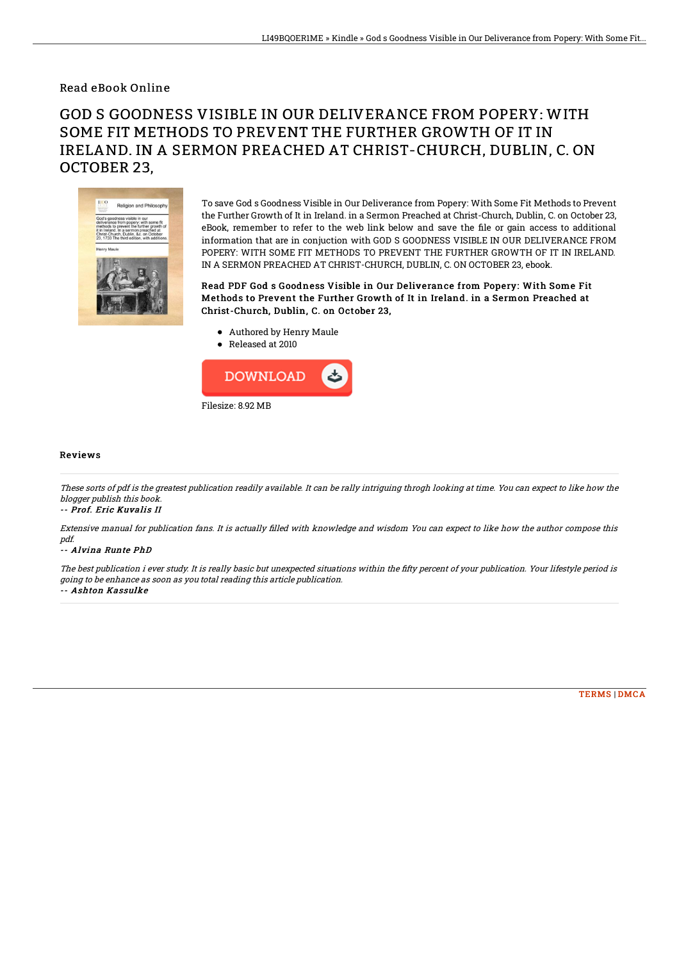### Read eBook Online

# GOD S GOODNESS VISIBLE IN OUR DELIVERANCE FROM POPERY: WITH SOME FIT METHODS TO PREVENT THE FURTHER GROWTH OF IT IN IRELAND. IN A SERMON PREACHED AT CHRIST-CHURCH, DUBLIN, C. ON OCTOBER 23,



To save God s Goodness Visible in Our Deliverance from Popery: With Some Fit Methods to Prevent the Further Growth of It in Ireland. in a Sermon Preached at Christ-Church, Dublin, C. on October 23, eBook, remember to refer to the web link below and save the file or gain access to additional information that are in conjuction with GOD S GOODNESS VISIBLE IN OUR DELIVERANCE FROM POPERY: WITH SOME FIT METHODS TO PREVENT THE FURTHER GROWTH OF IT IN IRELAND. IN A SERMON PREACHED AT CHRIST-CHURCH, DUBLIN, C. ON OCTOBER 23, ebook.

Read PDF God s Goodness Visible in Our Deliverance from Popery: With Some Fit Methods to Prevent the Further Growth of It in Ireland. in a Sermon Preached at Christ-Church, Dublin, C. on October 23,

- Authored by Henry Maule
- Released at 2010



#### Reviews

These sorts of pdf is the greatest publication readily available. It can be rally intriguing throgh looking at time. You can expect to like how the blogger publish this book.

#### -- Prof. Eric Kuvalis II

Extensive manual for publication fans. It is actually filled with knowledge and wisdom You can expect to like how the author compose this pdf.

#### -- Alvina Runte PhD

The best publication i ever study. It is really basic but unexpected situations within the fifty percent of your publication. Your lifestyle period is going to be enhance as soon as you total reading this article publication. -- Ashton Kassulke